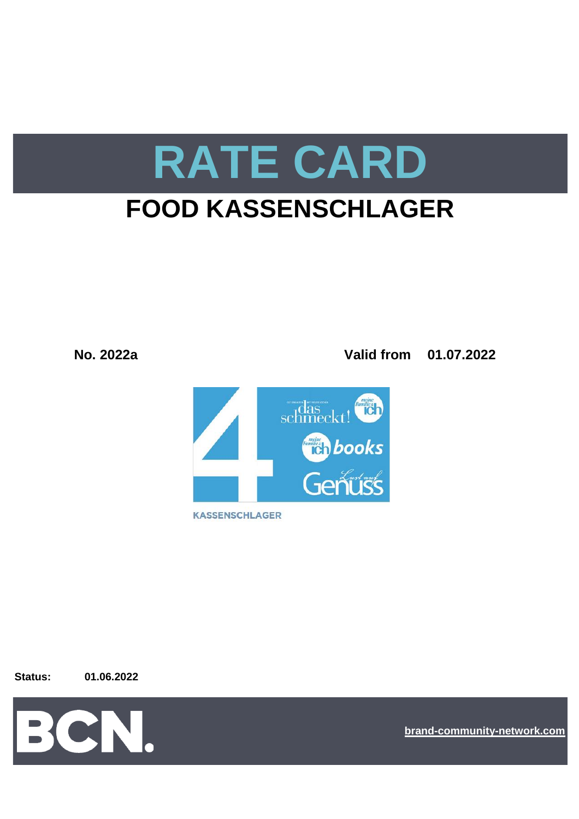

# **FOOD KASSENSCHLAGER**

**No. 2022a Valid from 01.07.2022**



**Status: 01.06.2022**



**[bra](https://bcn.burda.com/)nd-community-network.com**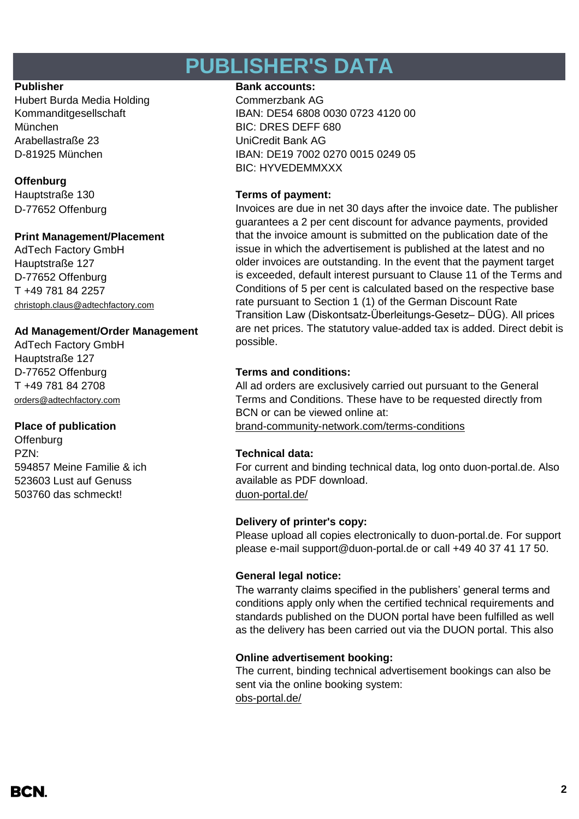## **PUBLISHER'S DATA**

Hubert Burda Media Holding Commerzbank AG München BIC: DRES DEFF 680 Arabellastraße 23 UniCredit Bank AG

### **Offenburg**

D-77652 Offenburg

### **Print Management/Placement**

AdTech Factory GmbH Hauptstraße 127 D-77652 Offenburg T +49 781 84 2257 christoph.claus@adtechfactory.com

### **Ad Management/Order Management**

AdTech Factory GmbH Hauptstraße 127 D-77652 Offenburg **Terms and conditions:** T +49 781 84 2708 [orders@adtechfactory.com](mailto:orders@adtechfactory.com)

**Offenburg** PZN: **Technical data:** 594857 Meine Familie & ich 523603 Lust auf Genuss 503760 das schmeckt! [duon-portal.de/](https://duon-portal.de/)

### **Publisher Bank accounts: Bank accounts:**

Kommanditgesellschaft IBAN: DE54 6808 0030 0723 4120 00 D-81925 München IBAN: DE19 7002 0270 0015 0249 05 BIC: HYVEDEMMXXX

### Hauptstraße 130 **Terms of payment:**

Invoices are due in net 30 days after the invoice date. The publisher guarantees a 2 per cent discount for advance payments, provided that the invoice amount is submitted on the publication date of the issue in which the advertisement is published at the latest and no older invoices are outstanding. In the event that the payment target is exceeded, default interest pursuant to Clause 11 of the Terms and Conditions of 5 per cent is calculated based on the respective base rate pursuant to Section 1 (1) of the German Discount Rate Transition Law (Diskontsatz-Überleitungs-Gesetz– DÜG). All prices are net prices. The statutory value-added tax is added. Direct debit is possible.

**Place of publication** [brand-community-network.com/terms-conditions](https://bcn.burda.com/terms-conditions) All ad orders are exclusively carried out pursuant to the General Terms and Conditions. These have to be requested directly from BCN or can be viewed online at:

For current and binding technical data, log onto duon-portal.de. Also available as PDF download.

### **Delivery of printer's copy:**

Please upload all copies electronically to duon-portal.de. For support please e-mail support@duon-portal.de or call +49 40 37 41 17 50.

### **General legal notice:**

The warranty claims specified in the publishers' general terms and conditions apply only when the certified technical requirements and standards published on the DUON portal have been fulfilled as well as the delivery has been carried out via the DUON portal. This also

### **Online advertisement booking:**

[obs-portal.de/](https://www.obs-portal.de/) The current, binding technical advertisement bookings can also be sent via the online booking system: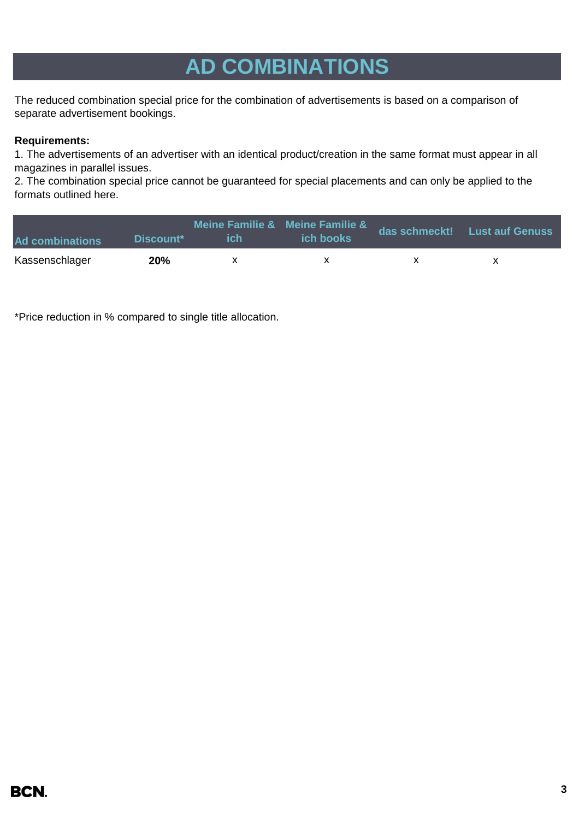# **AD COMBINATIONS**

The reduced combination special price for the combination of advertisements is based on a comparison of separate advertisement bookings.

### **Requirements:**

1. The advertisements of an advertiser with an identical product/creation in the same format must appear in all magazines in parallel issues.

2. The combination special price cannot be guaranteed for special placements and can only be applied to the formats outlined here.

| <b>Ad combinations</b> | Discount <sup>*</sup> | ich | Meine Familie & Meine Familie &<br><b>ich books</b> | das schmeckt! Lust auf Genuss |
|------------------------|-----------------------|-----|-----------------------------------------------------|-------------------------------|
| Kassenschlager         | 20%                   |     |                                                     |                               |

\*Price reduction in % compared to single title allocation.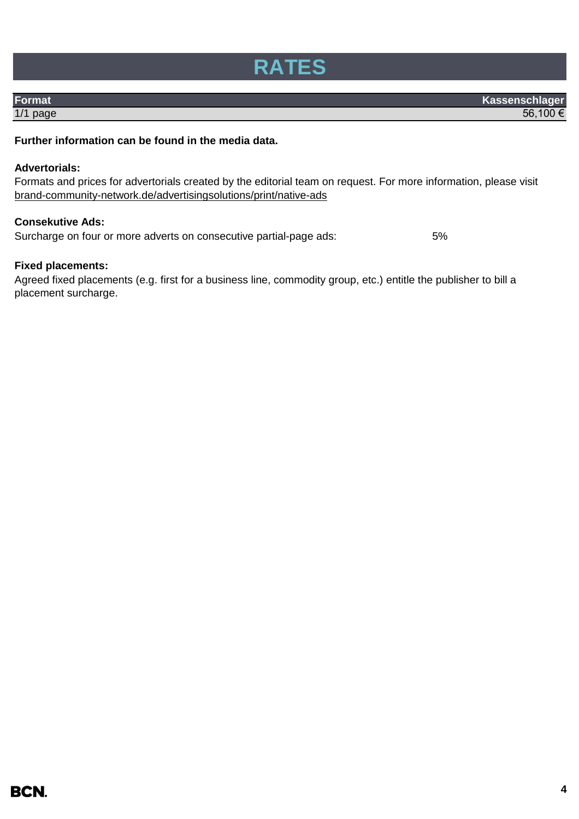

**Format** Kassenschlager 1/1 page  $56,100$   $\in$ 

### **Further information can be found in the media data.**

### **Advertorials:**

Formats and prices for advertorials created by the editorial team on request. For more information, please visit [brand-community-network.](https://bcn.burda.com/advertisingsolutions/print/native-ads)de/advertisingsolutions/print/native-ads

### **Consekutive Ads:**

Surcharge on four or more adverts on consecutive partial-page ads: 5%

### **Fixed placements:**

Agreed fixed placements (e.g. first for a business line, commodity group, etc.) entitle the publisher to bill a placement surcharge.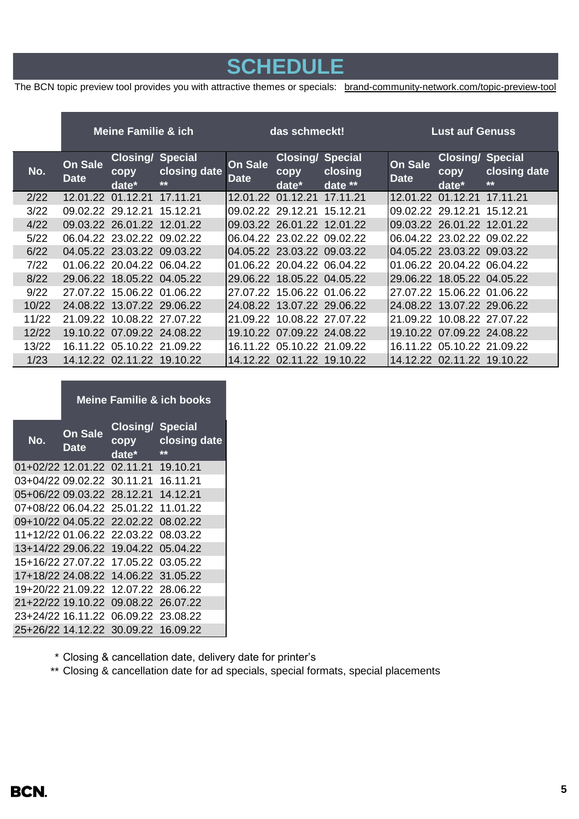## **SCHEDULE**

The BCN topic preview tool provides you with attractive themes or specials: [brand-comm](https://bcn.burda.com/topic-preview-tool)unity-network.com/topic-preview-tool

|       | <b>Meine Familie &amp; ich</b> |                                                      | das schmeckt!         |                               |                                             | <b>Lust auf Genuss</b> |                               |                                                      |                       |
|-------|--------------------------------|------------------------------------------------------|-----------------------|-------------------------------|---------------------------------------------|------------------------|-------------------------------|------------------------------------------------------|-----------------------|
| No.   | <b>On Sale</b><br><b>Date</b>  | <b>Closing/ Special</b><br>copy<br>date <sup>*</sup> | closing date<br>$***$ | <b>On Sale</b><br><b>Date</b> | <b>Closing/ Special</b><br>copy<br>$date^*$ | closing<br>date $**$   | <b>On Sale</b><br><b>Date</b> | <b>Closing/ Special</b><br>copy<br>date <sup>*</sup> | closing date<br>$***$ |
| 2/22  |                                | 12.01.22 01.12.21 17.11.21                           |                       | 12.01.22                      | 01.12.21 17.11.21                           |                        |                               | 12.01.22 01.12.21 17.11.21                           |                       |
| 3/22  | 09.02.22 29.12.21              |                                                      | 15.12.21              |                               | 09.02.22 29.12.21 15.12.21                  |                        |                               | 09.02.22 29.12.21 15.12.21                           |                       |
| 4/22  |                                | 09.03.22 26.01.22 12.01.22                           |                       |                               | 09.03.22 26.01.22 12.01.22                  |                        |                               | 09.03.22 26.01.22 12.01.22                           |                       |
| 5/22  |                                | 06.04.22 23.02.22 09.02.22                           |                       |                               | 06.04.22 23.02.22 09.02.22                  |                        |                               | 06.04.22 23.02.22 09.02.22                           |                       |
| 6/22  |                                | 04.05.22 23.03.22 09.03.22                           |                       |                               | 04.05.22 23.03.22 09.03.22                  |                        |                               | 04.05.22 23.03.22 09.03.22                           |                       |
| 7/22  |                                | 01.06.22 20.04.22 06.04.22                           |                       |                               | 01.06.22 20.04.22 06.04.22                  |                        |                               | 01.06.22 20.04.22 06.04.22                           |                       |
| 8/22  |                                | 29.06.22 18.05.22 04.05.22                           |                       |                               | 29.06.22 18.05.22 04.05.22                  |                        |                               | 29.06.22 18.05.22 04.05.22                           |                       |
| 9/22  |                                | 27.07.22 15.06.22 01.06.22                           |                       |                               | 27.07.22 15.06.22 01.06.22                  |                        |                               | 27.07.22 15.06.22 01.06.22                           |                       |
| 10/22 |                                | 24.08.22 13.07.22 29.06.22                           |                       |                               | 24.08.22 13.07.22 29.06.22                  |                        |                               | 24.08.22 13.07.22 29.06.22                           |                       |
| 11/22 |                                | 21.09.22 10.08.22 27.07.22                           |                       |                               | 21.09.22 10.08.22 27.07.22                  |                        | 21.09.22                      | 10.08.22 27.07.22                                    |                       |
| 12/22 |                                | 19.10.22 07.09.22 24.08.22                           |                       |                               | 19.10.22 07.09.22 24.08.22                  |                        |                               | 19.10.22 07.09.22 24.08.22                           |                       |
| 13/22 |                                | 16.11.22 05.10.22 21.09.22                           |                       |                               | 16.11.22 05.10.22 21.09.22                  |                        | 16.11.22                      | 05.10.22 21.09.22                                    |                       |
| 1/23  |                                | 14.12.22 02.11.22 19.10.22                           |                       | 14.12.22                      | 02.11.22 19.10.22                           |                        | 14.12.22                      | 02.11.22 19.10.22                                    |                       |

### **Meine Familie & ich books**

| No.               | On Sale<br>Date            | <b>Closing/ Special</b><br>copy<br>date* | closing date<br>** |
|-------------------|----------------------------|------------------------------------------|--------------------|
|                   |                            | 01+02/22 12.01.22 02.11.21 19.10.21      |                    |
|                   |                            | 03+04/22 09.02.22 30.11.21               | 16.11.21           |
|                   |                            | 05+06/22 09.03.22 28.12.21               | 14.12.21           |
|                   |                            | 07+08/22 06.04.22 25.01.22               | 11.01.22           |
|                   | 09+10/22 04.05.22 22.02.22 |                                          | 08.02.22           |
|                   |                            | 11+12/22 01.06.22 22.03.22 08.03.22      |                    |
|                   |                            | 13+14/22 29.06.22 19.04.22 05.04.22      |                    |
|                   |                            | 15+16/22 27.07.22 17.05.22 03.05.22      |                    |
|                   |                            | 17+18/22 24.08.22 14.06.22 31.05.22      |                    |
|                   |                            | 19+20/22 21.09.22 12.07.22 28.06.22      |                    |
| 21+22/22 19.10.22 |                            | 09.08.22 26.07.22                        |                    |
| 23+24/22 16.11.22 |                            | 06.09.22 23.08.22                        |                    |
|                   |                            | 25+26/22 14.12.22 30.09.22 16.09.22      |                    |

- \* Closing & cancellation date, delivery date for printer's
- \*\* Closing & cancellation date for ad specials, special formats, special placements